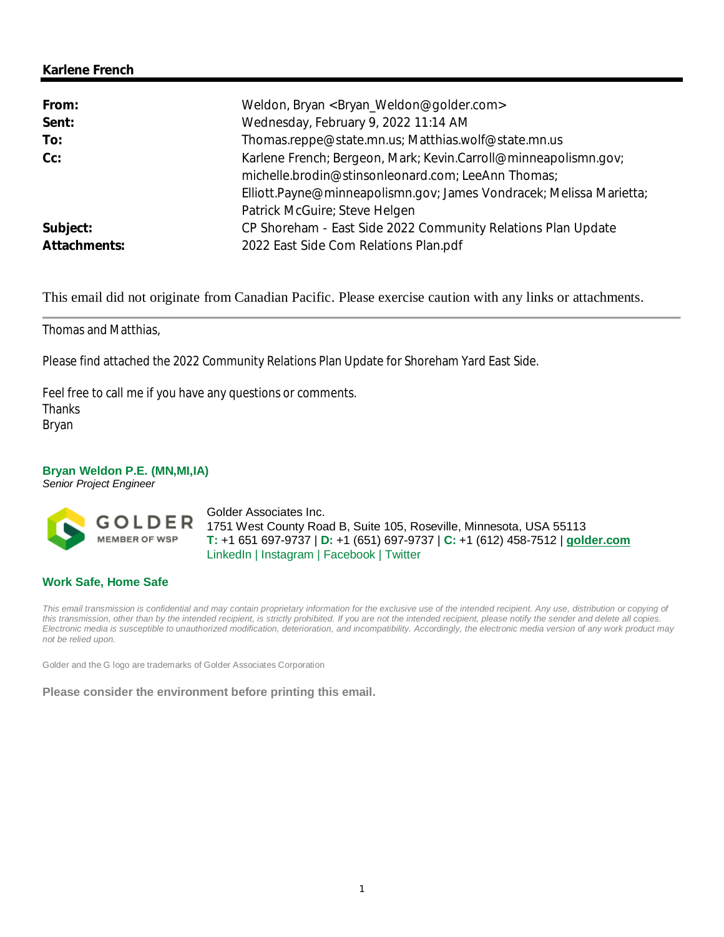## **Karlene French**

| From:        | Weldon, Bryan <bryan_weldon@golder.com></bryan_weldon@golder.com>   |
|--------------|---------------------------------------------------------------------|
| Sent:        | Wednesday, February 9, 2022 11:14 AM                                |
| To:          | Thomas.reppe@state.mn.us; Matthias.wolf@state.mn.us                 |
| $Cc$ :       | Karlene French; Bergeon, Mark; Kevin.Carroll@minneapolismn.gov;     |
|              | michelle.brodin@stinsonleonard.com; LeeAnn Thomas;                  |
|              | Elliott.Payne@minneapolismn.gov; James Vondracek; Melissa Marietta; |
|              | Patrick McGuire; Steve Helgen                                       |
| Subject:     | CP Shoreham - East Side 2022 Community Relations Plan Update        |
| Attachments: | 2022 East Side Com Relations Plan.pdf                               |

This email did not originate from Canadian Pacific. Please exercise caution with any links or attachments.

Thomas and Matthias,

Please find attached the 2022 Community Relations Plan Update for Shoreham Yard East Side.

Feel free to call me if you have any questions or comments. Thanks Bryan

# **Bryan Weldon P.E. (MN,MI,IA)**

*Senior Project Engineer*



Golder Associates Inc. 1751 West County Road B, Suite 105, Roseville, Minnesota, USA 55113 **T:** +1 651 697-9737 | **D:** +1 (651) 697-9737 | **C:** +1 (612) 458-7512 | **golder.com** LinkedIn | Instagram | Facebook | Twitter

### **Work Safe, Home Safe**

*This email transmission is confidential and may contain proprietary information for the exclusive use of the intended recipient. Any use, distribution or copying of this transmission, other than by the intended recipient, is strictly prohibited. If you are not the intended recipient, please notify the sender and delete all copies. Electronic media is susceptible to unauthorized modification, deterioration, and incompatibility. Accordingly, the electronic media version of any work product may not be relied upon.*

Golder and the G logo are trademarks of Golder Associates Corporation

**Please consider the environment before printing this email.**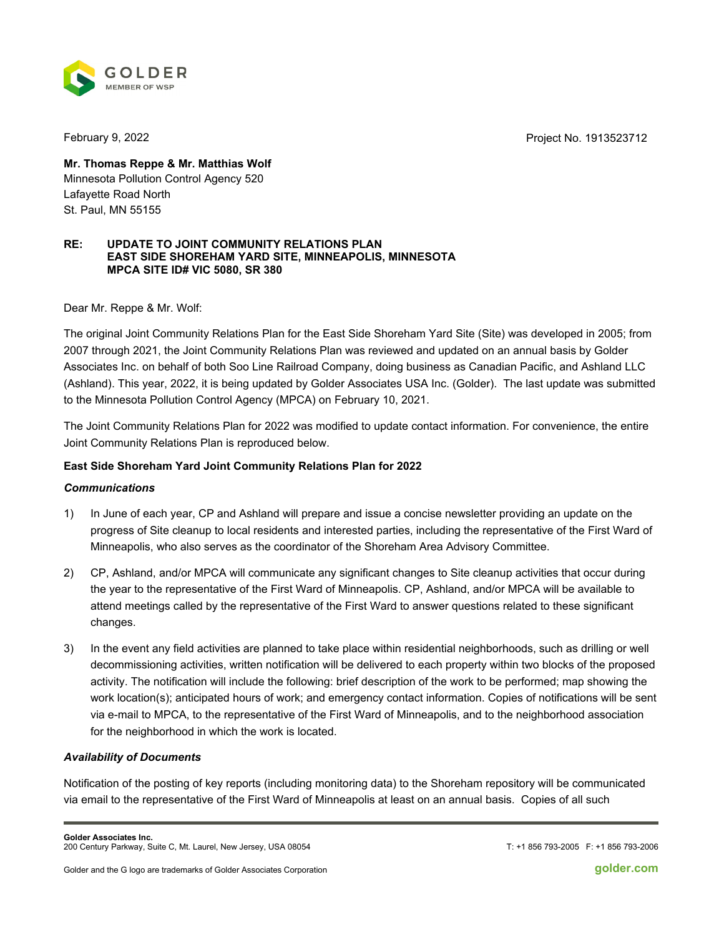February 9, 2022 **Project No. 1913523712** 



**Mr. Thomas Reppe & Mr. Matthias Wolf** Minnesota Pollution Control Agency 520 Lafayette Road North St. Paul, MN 55155

#### **RE: UPDATE TO JOINT COMMUNITY RELATIONS PLAN EAST SIDE SHOREHAM YARD SITE, MINNEAPOLIS, MINNESOTA MPCA SITE ID# VIC 5080, SR 380**

Dear Mr. Reppe & Mr. Wolf:

The original Joint Community Relations Plan for the East Side Shoreham Yard Site (Site) was developed in 2005; from 2007 through 2021, the Joint Community Relations Plan was reviewed and updated on an annual basis by Golder Associates Inc. on behalf of both Soo Line Railroad Company, doing business as Canadian Pacific, and Ashland LLC (Ashland). This year, 2022, it is being updated by Golder Associates USA Inc. (Golder). The last update was submitted to the Minnesota Pollution Control Agency (MPCA) on February 10, 2021.

The Joint Community Relations Plan for 2022 was modified to update contact information. For convenience, the entire Joint Community Relations Plan is reproduced below.

### **East Side Shoreham Yard Joint Community Relations Plan for 2022**

### *Communications*

- 1) In June of each year, CP and Ashland will prepare and issue a concise newsletter providing an update on the progress of Site cleanup to local residents and interested parties, including the representative of the First Ward of Minneapolis, who also serves as the coordinator of the Shoreham Area Advisory Committee.
- 2) CP, Ashland, and/or MPCA will communicate any significant changes to Site cleanup activities that occur during the year to the representative of the First Ward of Minneapolis. CP, Ashland, and/or MPCA will be available to attend meetings called by the representative of the First Ward to answer questions related to these significant changes.
- 3) In the event any field activities are planned to take place within residential neighborhoods, such as drilling or well decommissioning activities, written notification will be delivered to each property within two blocks of the proposed activity. The notification will include the following: brief description of the work to be performed; map showing the work location(s); anticipated hours of work; and emergency contact information. Copies of notifications will be sent via e-mail to MPCA, to the representative of the First Ward of Minneapolis, and to the neighborhood association for the neighborhood in which the work is located.

### *Availability of Documents*

Notification of the posting of key reports (including monitoring data) to the Shoreham repository will be communicated via email to the representative of the First Ward of Minneapolis at least on an annual basis. Copies of all such